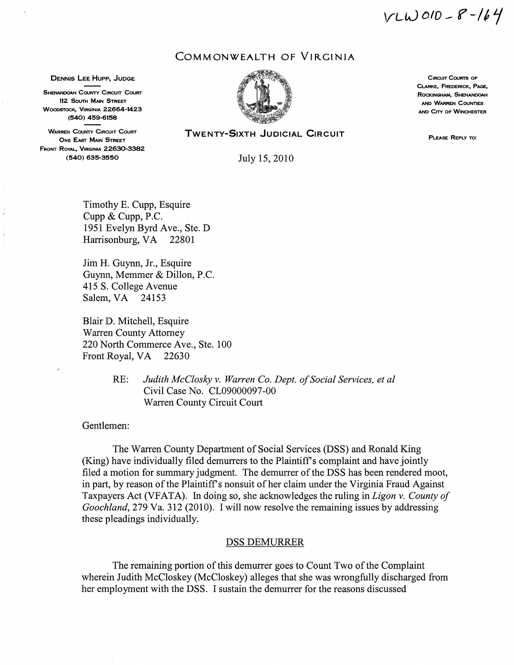$VLW010 - 8 - 164$ 

# COMMONWEALTH OF VIRGINIA

DENNIS LEE HUPP, JUDGE **CRACING A SECULIT COURTS OF CIRCLIT COURTS** OF CIRCLIT COURTS OF

SHENANDOAH COUNTY CIRCUIT COURT COUNTY COUNTY COUNTY COUNTY COUNTY COUNTY COUNTY COUNTY COUNTY COUNTY COUNTY COUNTY COUNTY COUNTY COUNTY COUNTY COUNTY COUNTY COUNTY COUNTY COUNTY COUNTY COUNTY COUNTY COUNTY COUNTY COUNTY C 112 SOUTH MAIN STREET AND STREET AND STREET AND WARREN COUNTIES (540) 459-6158

WARREN COUNTY CIRCUIT COURT ONE EAST MAIN STREET FRONT ROYAL, VIRGINIA 22630-3382 (540) 635-3550 July 15, 2010



CLARKE, FREDERICK, PAGE, AND CITY OF WINCHESTER

TWENTY-SIXTH JUDICIAL CIRCUIT

Timothy E. Cupp, Esquire Cupp & Cupp, P.C. 1951 Evelyn Byrd Ave., Ste. D Harrisonburg, VA 22801

Jim H. Guynn, Jr., Esquire Guynn, Memmer & Dillon, P.C. 415 S. College Avenue Salem, VA 24153

Blair D. Mitchell, Esquire Warren County Attorney 220 North Commerce Ave., Ste. 100 Front Royal, VA 22630

> RE: *Judith McClosky v. Warren Co. Dept. of Social Services, et al* Civil Case No. CL09000097-00 Warren County Circuit Court

Gentlemen:

The Warren County Department of Social Services (DSS) and Ronald King (King) have individually filed demurrers to the Plaintiff's complaint and have jointly filed a motion for summary judgment. The demurrer of the DSS has been rendered moot, in part, by reason of the Plaintiff's nonsuit of her claim under the Virginia Fraud Against Taxpayers Act (VFATA). In doing so, she acknowledges the ruling in *Ligon v. County of Goochland, 279 Va. 312 (2010).* I will now resolve the remaining issues by addressing these pleadings individually.

### DSS DEMURRER

The remaining portion of this demurrer goes to Count Two of the Complaint wherein Judith McCloskey (McCloskey) alleges that she was wrongfully discharged from her employment with the DSS. I sustain the demurrer for the reasons discussed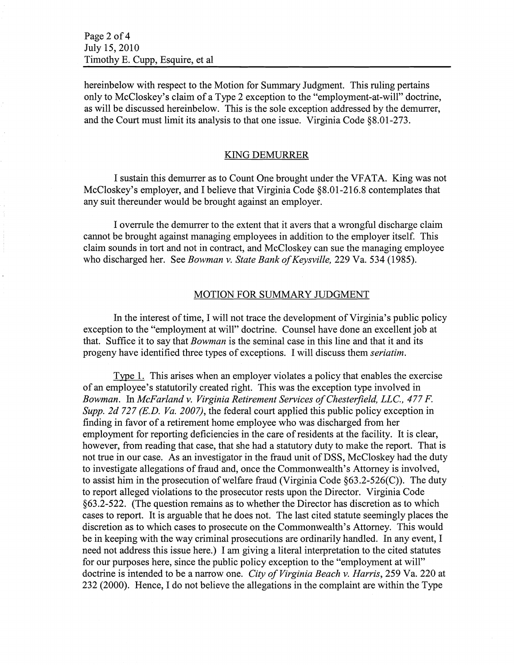hereinbelow with respect to the Motion for Summary Judgment. This ruling pertains only to McCloskey's claim of a Type 2 exception to the "employment-at-will" doctrine, as will be discussed hereinbelow. This is the sole exception addressed by the demurrer, and the Court must limit its analysis to that one issue. Virginia Code  $§8.01-273$ .

#### KING DEMURRER

I sustain this demurrer as to Count One brought under the VFATA. King was not McCloskey's employer, and I believe that Virginia Code §8.01-216.8 contemplates that any suit thereunder would be brought against an employer.

I overrule the demurrer to the extent that it avers that a wrongful discharge claim cannot be brought against managing employees in addition to the employer itself. This claim sounds in tort and not in contract, and McCloskey can sue the managing employee who discharged her. See *Bowman v. State Bank of Keysville,* 229 Va. 534 (1985).

### MOTION FOR SUMMARY JUDGMENT

In the interest of time, I will not trace the development of Virginia's public policy exception to the "employment at will" doctrine. Counsel have done an excellent job at that. Suffice it to say that *Bowman* is the seminal case in this line and that it and its progeny have identified three types of exceptions. I will discuss them *seriatim*.

Type 1. This arises when an employer violates a policy that enables the exercise of an employee's statutorily created right. This was the exception type involved in *Bowman.* In *McFarland v. Virginia Retirement Services of Chesterfield, LLC., 477 F. Supp. 2d* 727 *(E.D. Va. 2007),* the federal court applied this public policy exception in finding in favor of a retirement home employee who was discharged from her employment for reporting deficiencies in the care of residents at the facility. It is clear, however, from reading that case, that she had a statutory duty to make the report. That is not true in our case. As an investigator in the fraud unit of DSS, McCloskey had the duty to investigate allegations of fraud and, once the Commonwealth's Attorney is involved, to assist him in the prosecution of welfare fraud (Virginia Code  $\S 63.2 - 526(C)$ ). The duty to report alleged violations to the prosecutor rests upon the Director. Virginia Code §63.2-522. (The question remains as to whether the Director has discretion as to which cases to report. It is arguable that he does not. The last cited statute seemingly places the discretion as to which cases to prosecute on the Commonwealth's Attorney. This would be in keeping with the way criminal prosecutions are ordinarily handled. In any event, I need not address this issue here.) I am giving a literal interpretation to the cited statutes for our purposes here, since the public policy exception to the "employment at will" doctrine is intended to be a narrow one. *City of Virginia Beach v. Harris*, 259 Va. 220 at 232 (2000). Hence, I do not believe the allegations in the complaint are within the Type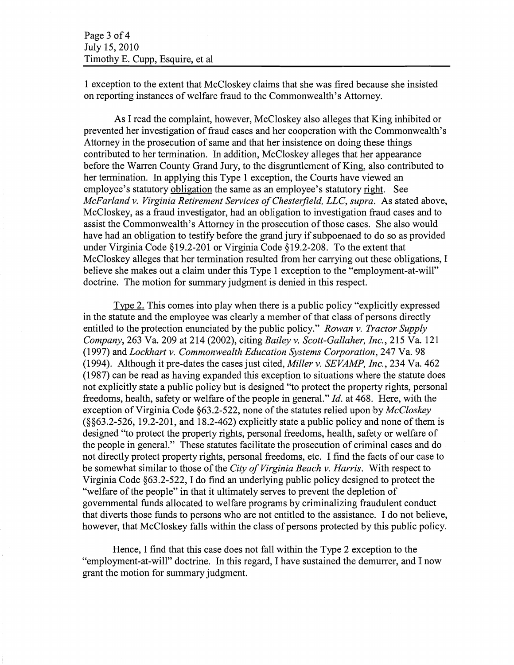1 exception to the extent that McCloskey claims that she was fired because she insisted on reporting instances ofwelfare fraud to the Commonwealth's Attorney.

As I read the complaint, however, McCloskey also alleges that King inhibited or prevented her investigation of fraud cases and her cooperation with the Commonwealth's Attorney in the prosecution of same and that her insistence on doing these things contributed to her termination. In addition, McCloskey alleges that her appearance before the Warren County Grand Jury, to the disgruntlement of King, also contributed to her termination. In applying this Type 1 exception, the Courts have viewed an employee's statutory obligation the same as an employee's statutory right. See *McFarland* v. *Virginia Retirement Services ofChesterfield, LLC, supra.* As stated above, McCloskey, as a fraud investigator, had an obligation to investigation fraud cases and to assist the Commonwealth's Attorney in the prosecution of those cases. She also would have had an obligation to testify before the grand jury if subpoenaed to do so as provided under Virginia Code §19.2-201 or Virginia Code §19.2-208. To the extent that McCloskey alleges that her termination resulted from her carrying out these obligations, I believe she makes out a claim under this Type 1 exception to the "employment-at-will" doctrine. The motion for summary judgment is denied in this respect.

Type 2. This comes into play when there is a public policy "explicitly expressed in the statute and the employee was clearly a member of that class of persons directly entitled to the protection enunciated by the public policy." *Rowan* v. *Tractor Supply Company,* 263 Va. 209 at 214 (2002), citing *Bailey* v. *Scott-Gallaher, Inc.,* 215 Va. 121 (1997) and *Lockhart* v. *Commonwealth Education Systems Corporation,* 247 Va. 98 (1994). Although it pre-dates the cases just cited, *Miller* v. *SEVAMP, Inc.,* 234 Va. 462  $(1987)$  can be read as having expanded this exception to situations where the statute does not explicitly state a public policy but is designed "to protect the property rights, personal freedoms, health, safety or welfare of the people in general." *Id.* at 468. Here, with the exception of Virginia Code §63.2-522, none of the statutes relied upon by *McCloskey*  $(\S_{\S6}63.2-526, 19.2-201,$  and 18.2-462) explicitly state a public policy and none of them is designed "to protect the property rights, personal freedoms, health, safety or welfare of the people in general." These statutes facilitate the prosecution of criminal cases and do not directly protect property rights, personal freedoms, etc. I find the facts of our case to be somewhat similar to those of the *City of Virginia Beach v. Harris.* With respect to Virginia Code §63.2-522, I do find an underlying public policy designed to protect the "welfare of the people" in that it ultimately serves to prevent the depletion of governmental funds allocated to welfare programs by criminalizing fraudulent conduct that diverts those funds to persons who are not entitled to the assistance. I do not believe, however, that McCloskey falls within the class of persons protected by this public policy.

Hence, I find that this case does not fall within the Type 2 exception to the "employment-at-will" doctrine. In this regard, I have sustained the demurrer, and I now grant the motion for summary judgment.